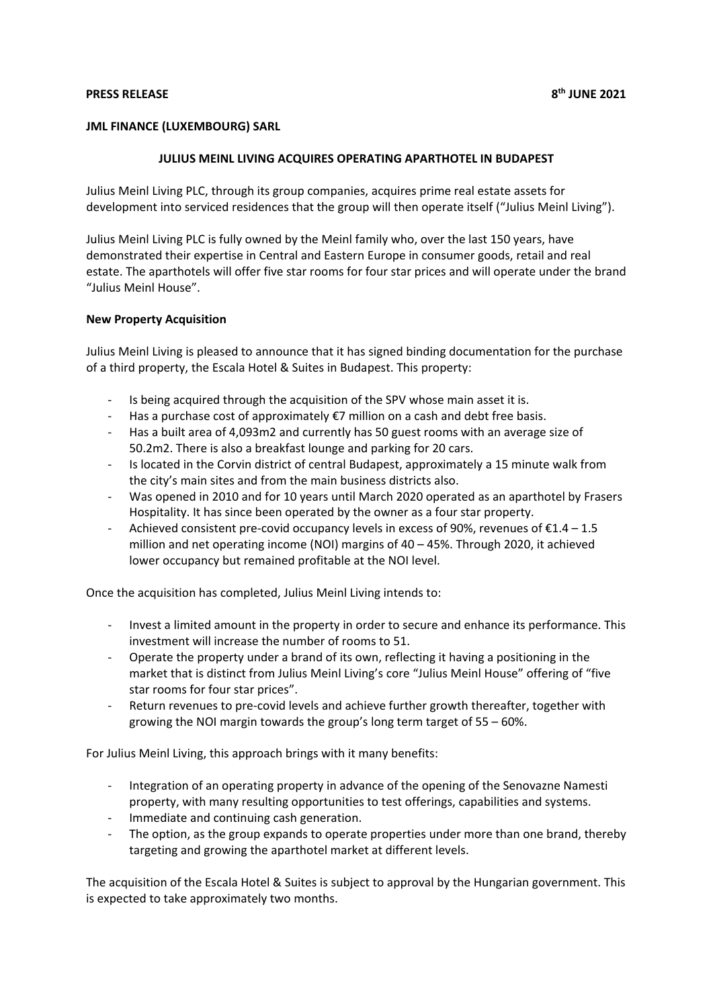## **PRESS RELEASE 8th JUNE 2021**

## **JML FINANCE (LUXEMBOURG) SARL**

## **JULIUS MEINL LIVING ACQUIRES OPERATING APARTHOTEL IN BUDAPEST**

Julius Meinl Living PLC, through its group companies, acquires prime real estate assets for development into serviced residences that the group will then operate itself ("Julius Meinl Living").

Julius Meinl Living PLC is fully owned by the Meinl family who, over the last 150 years, have demonstrated their expertise in Central and Eastern Europe in consumer goods, retail and real estate. The aparthotels will offer five star rooms for four star prices and will operate under the brand "Julius Meinl House".

### **New Property Acquisition**

Julius Meinl Living is pleased to announce that it has signed binding documentation for the purchase of a third property, the Escala Hotel & Suites in Budapest. This property:

- Is being acquired through the acquisition of the SPV whose main asset it is.
- Has a purchase cost of approximately  $\epsilon$ 7 million on a cash and debt free basis.
- Has a built area of 4,093m2 and currently has 50 guest rooms with an average size of 50.2m2. There is also a breakfast lounge and parking for 20 cars.
- Is located in the Corvin district of central Budapest, approximately a 15 minute walk from the city's main sites and from the main business districts also.
- Was opened in 2010 and for 10 years until March 2020 operated as an aparthotel by Frasers Hospitality. It has since been operated by the owner as a four star property.
- Achieved consistent pre-covid occupancy levels in excess of 90%, revenues of  $£1.4 1.5$ million and net operating income (NOI) margins of 40 – 45%. Through 2020, it achieved lower occupancy but remained profitable at the NOI level.

Once the acquisition has completed, Julius Meinl Living intends to:

- Invest a limited amount in the property in order to secure and enhance its performance. This investment will increase the number of rooms to 51.
- Operate the property under a brand of its own, reflecting it having a positioning in the market that is distinct from Julius Meinl Living's core "Julius Meinl House" offering of "five star rooms for four star prices".
- Return revenues to pre-covid levels and achieve further growth thereafter, together with growing the NOI margin towards the group's long term target of 55 – 60%.

For Julius Meinl Living, this approach brings with it many benefits:

- Integration of an operating property in advance of the opening of the Senovazne Namesti property, with many resulting opportunities to test offerings, capabilities and systems.
- Immediate and continuing cash generation.
- The option, as the group expands to operate properties under more than one brand, thereby targeting and growing the aparthotel market at different levels.

The acquisition of the Escala Hotel & Suites is subject to approval by the Hungarian government. This is expected to take approximately two months.